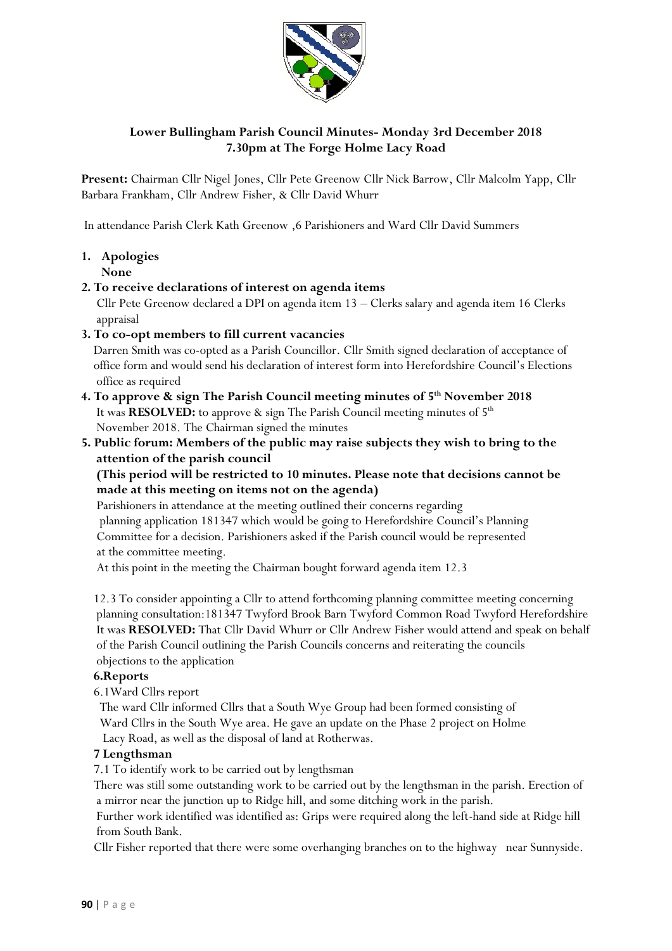

# **Lower Bullingham Parish Council Minutes- Monday 3rd December 2018 7.30pm at The Forge Holme Lacy Road**

**Present:** Chairman Cllr Nigel Jones, Cllr Pete Greenow Cllr Nick Barrow, Cllr Malcolm Yapp, Cllr Barbara Frankham, Cllr Andrew Fisher, & Cllr David Whurr

In attendance Parish Clerk Kath Greenow ,6 Parishioners and Ward Cllr David Summers

**1. Apologies None** 

# **2. To receive declarations of interest on agenda items**

 Cllr Pete Greenow declared a DPI on agenda item 13 – Clerks salary and agenda item 16 Clerks appraisal

### **3. To co-opt members to fill current vacancies**

 Darren Smith was co-opted as a Parish Councillor. Cllr Smith signed declaration of acceptance of office form and would send his declaration of interest form into Herefordshire Council's Elections office as required

- **4. To approve & sign The Parish Council meeting minutes of 5 th November 2018**  It was **RESOLVED:** to approve & sign The Parish Council meeting minutes of 5<sup>th</sup> November 2018. The Chairman signed the minutes
- **5. Public forum: Members of the public may raise subjects they wish to bring to the attention of the parish council**

 **(This period will be restricted to 10 minutes. Please note that decisions cannot be made at this meeting on items not on the agenda)**

 Parishioners in attendance at the meeting outlined their concerns regarding planning application 181347 which would be going to Herefordshire Council's Planning Committee for a decision. Parishioners asked if the Parish council would be represented at the committee meeting.

At this point in the meeting the Chairman bought forward agenda item 12.3

 12.3 To consider appointing a Cllr to attend forthcoming planning committee meeting concerning planning consultation:181347 Twyford Brook Barn Twyford Common Road Twyford Herefordshire It was **RESOLVED:** That Cllr David Whurr or Cllr Andrew Fisher would attend and speak on behalf of the Parish Council outlining the Parish Councils concerns and reiterating the councils objections to the application

## **6.Reports**

6.1Ward Cllrs report

The ward Cllr informed Cllrs that a South Wye Group had been formed consisting of Ward Cllrs in the South Wye area. He gave an update on the Phase 2 project on Holme Lacy Road, as well as the disposal of land at Rotherwas.

#### **7 Lengthsman**

7.1 To identify work to be carried out by lengthsman

 There was still some outstanding work to be carried out by the lengthsman in the parish. Erection of a mirror near the junction up to Ridge hill, and some ditching work in the parish.

 Further work identified was identified as: Grips were required along the left-hand side at Ridge hill from South Bank.

Cllr Fisher reported that there were some overhanging branches on to the highway near Sunnyside.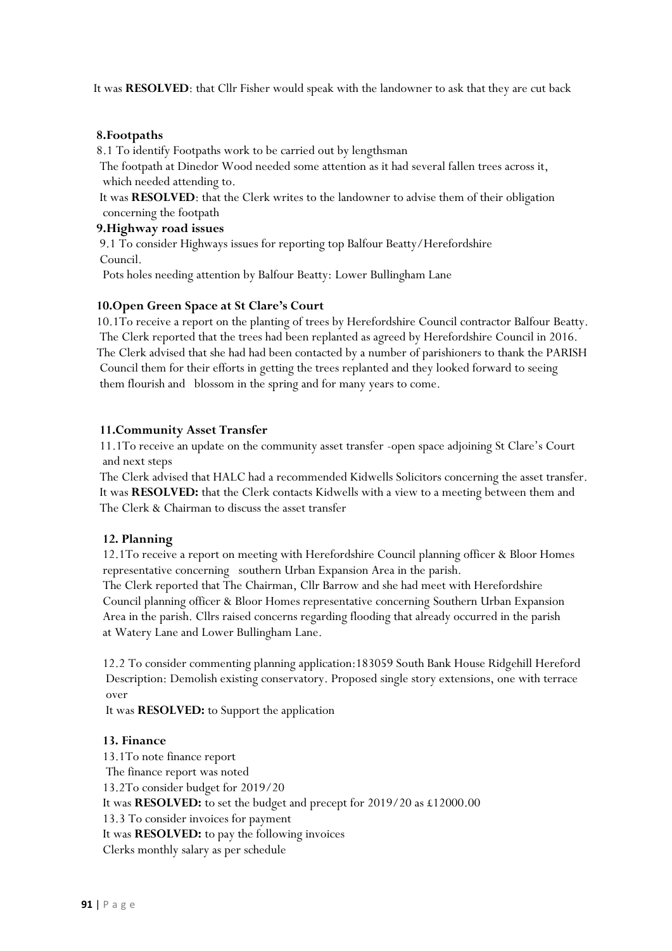It was **RESOLVED**: that Cllr Fisher would speak with the landowner to ask that they are cut back

### **8.Footpaths**

8.1 To identify Footpaths work to be carried out by lengthsman

 The footpath at Dinedor Wood needed some attention as it had several fallen trees across it, which needed attending to.

 It was **RESOLVED**: that the Clerk writes to the landowner to advise them of their obligation concerning the footpath

### **9.Highway road issues**

 9.1 To consider Highways issues for reporting top Balfour Beatty/Herefordshire Council.

Pots holes needing attention by Balfour Beatty: Lower Bullingham Lane

## **10.Open Green Space at St Clare's Court**

 10.1To receive a report on the planting of trees by Herefordshire Council contractor Balfour Beatty. The Clerk reported that the trees had been replanted as agreed by Herefordshire Council in 2016. The Clerk advised that she had had been contacted by a number of parishioners to thank the PARISH Council them for their efforts in getting the trees replanted and they looked forward to seeing them flourish and blossom in the spring and for many years to come.

### **11.Community Asset Transfer**

 11.1To receive an update on the community asset transfer -open space adjoining St Clare's Court and next steps

 The Clerk advised that HALC had a recommended Kidwells Solicitors concerning the asset transfer. It was **RESOLVED:** that the Clerk contacts Kidwells with a view to a meeting between them and The Clerk & Chairman to discuss the asset transfer

## **12. Planning**

 12.1To receive a report on meeting with Herefordshire Council planning officer & Bloor Homes representative concerning southern Urban Expansion Area in the parish.

 The Clerk reported that The Chairman, Cllr Barrow and she had meet with Herefordshire Council planning officer & Bloor Homes representative concerning Southern Urban Expansion Area in the parish. Cllrs raised concerns regarding flooding that already occurred in the parish at Watery Lane and Lower Bullingham Lane.

 12.2 To consider commenting planning application:183059 South Bank House Ridgehill Hereford Description: Demolish existing conservatory. Proposed single story extensions, one with terrace over

It was **RESOLVED:** to Support the application

#### **13. Finance**

 13.1To note finance report The finance report was noted 13.2To consider budget for 2019/20 It was **RESOLVED:** to set the budget and precept for 2019/20 as £12000.00 13.3 To consider invoices for payment It was **RESOLVED:** to pay the following invoices Clerks monthly salary as per schedule